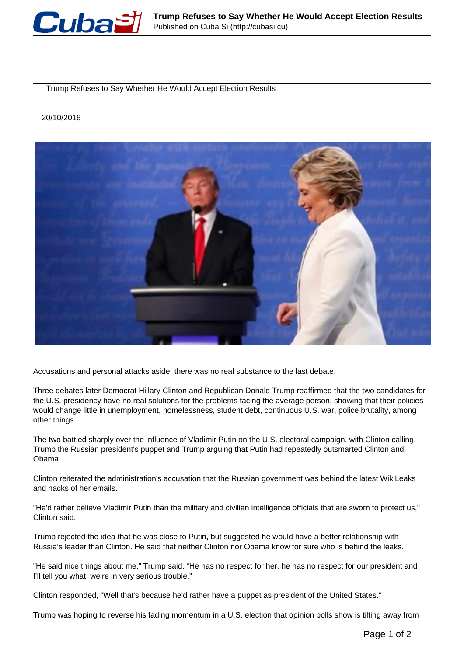

Trump Refuses to Say Whether He Would Accept Election Results

## 20/10/2016



Accusations and personal attacks aside, there was no real substance to the last debate.

Three debates later Democrat Hillary Clinton and Republican Donald Trump reaffirmed that the two candidates for the U.S. presidency have no real solutions for the problems facing the average person, showing that their policies would change little in unemployment, homelessness, student debt, continuous U.S. war, police brutality, among other things.

The two battled sharply over the influence of Vladimir Putin on the U.S. electoral campaign, with Clinton calling Trump the Russian president's puppet and Trump arguing that Putin had repeatedly outsmarted Clinton and Obama.

Clinton reiterated the administration's accusation that the Russian government was behind the latest WikiLeaks and hacks of her emails.

"He'd rather believe Vladimir Putin than the military and civilian intelligence officials that are sworn to protect us," Clinton said.

Trump rejected the idea that he was close to Putin, but suggested he would have a better relationship with Russia's leader than Clinton. He said that neither Clinton nor Obama know for sure who is behind the leaks.

"He said nice things about me," Trump said. "He has no respect for her, he has no respect for our president and I'll tell you what, we're in very serious trouble."

Clinton responded, "Well that's because he'd rather have a puppet as president of the United States."

Trump was hoping to reverse his fading momentum in a U.S. election that opinion polls show is tilting away from